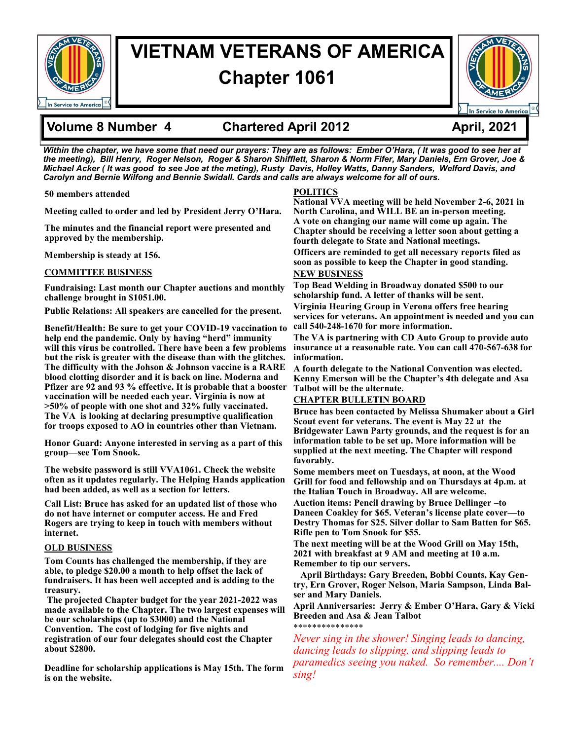

# **VIETNAM VETERANS OF AMERICA Chapter 1061**



### **Volume 8 Number 4 Chartered April 2012 April, 2021**

*Within the chapter, we have some that need our prayers: They are as follows: Ember O'Hara, ( It was good to see her at the meeting), Bill Henry, Roger Nelson, Roger & Sharon Shifflett, Sharon & Norm Fifer, Mary Daniels, Ern Grover, Joe & Michael Acker ( It was good to see Joe at the meting), Rusty Davis, Holley Watts, Danny Sanders, Welford Davis, and Carolyn and Bernie Wilfong and Bennie Swidall. Cards and calls are always welcome for all of ours.* 

**50 members attended**

**Meeting called to order and led by President Jerry O'Hara.** 

**The minutes and the financial report were presented and approved by the membership.** 

**Membership is steady at 156.** 

#### **COMMITTEE BUSINESS**

**Fundraising: Last month our Chapter auctions and monthly challenge brought in \$1051.00.** 

**Public Relations: All speakers are cancelled for the present.** 

**Benefit/Health: Be sure to get your COVID-19 vaccination to help end the pandemic. Only by having "herd" immunity will this virus be controlled. There have been a few problems but the risk is greater with the disease than with the glitches. The difficulty with the Johson & Johnson vaccine is a RARE blood clotting disorder and it is back on line. Moderna and Pfizer are 92 and 93 % effective. It is probable that a booster vaccination will be needed each year. Virginia is now at >50% of people with one shot and 32% fully vaccinated. The VA is looking at declaring presumptive qualification for troops exposed to AO in countries other than Vietnam.** 

**Honor Guard: Anyone interested in serving as a part of this group—see Tom Snook.** 

**The website password is still VVA1061. Check the website often as it updates regularly. The Helping Hands application had been added, as well as a section for letters.**

**Call List: Bruce has asked for an updated list of those who do not have internet or computer access. He and Fred Rogers are trying to keep in touch with members without internet.** 

#### **OLD BUSINESS**

**Tom Counts has challenged the membership, if they are able, to pledge \$20.00 a month to help offset the lack of fundraisers. It has been well accepted and is adding to the treasury.**

**The projected Chapter budget for the year 2021-2022 was made available to the Chapter. The two largest expenses will be our scholarships (up to \$3000) and the National Convention. The cost of lodging for five nights and registration of our four delegates should cost the Chapter about \$2800.** 

**Deadline for scholarship applications is May 15th. The form is on the website.** 

### **POLITICS**

**National VVA meeting will be held November 2-6, 2021 in North Carolina, and WILL BE an in-person meeting. A vote on changing our name will come up again. The Chapter should be receiving a letter soon about getting a fourth delegate to State and National meetings.** 

**Officers are reminded to get all necessary reports filed as soon as possible to keep the Chapter in good standing. NEW BUSINESS**

**Top Bead Welding in Broadway donated \$500 to our scholarship fund. A letter of thanks will be sent.**

**Virginia Hearing Group in Verona offers free hearing services for veterans. An appointment is needed and you can call 540-248-1670 for more information.** 

**The VA is partnering with CD Auto Group to provide auto insurance at a reasonable rate. You can call 470-567-638 for information.** 

**A fourth delegate to the National Convention was elected. Kenny Emerson will be the Chapter's 4th delegate and Asa Talbot will be the alternate.** 

#### **CHAPTER BULLETIN BOARD**

**Bruce has been contacted by Melissa Shumaker about a Girl Scout event for veterans. The event is May 22 at the Bridgewater Lawn Party grounds, and the request is for an information table to be set up. More information will be supplied at the next meeting. The Chapter will respond favorably.** 

**Some members meet on Tuesdays, at noon, at the Wood Grill for food and fellowship and on Thursdays at 4p.m. at the Italian Touch in Broadway. All are welcome.** 

**Auction items: Pencil drawing by Bruce Dellinger –to Daneen Coakley for \$65. Veteran's license plate cover—to Destry Thomas for \$25. Silver dollar to Sam Batten for \$65. Rifle pen to Tom Snook for \$55.** 

**The next meeting will be at the Wood Grill on May 15th, 2021 with breakfast at 9 AM and meeting at 10 a.m. Remember to tip our servers.** 

 **April Birthdays: Gary Breeden, Bobbi Counts, Kay Gentry, Ern Grover, Roger Nelson, Maria Sampson, Linda Balser and Mary Daniels.**

**April Anniversaries: Jerry & Ember O'Hara, Gary & Vicki Breeden and Asa & Jean Talbot** \*\*\*\*\*\*\*\*\*\*\*\*\*\*\*

*Never sing in the shower! Singing leads to dancing, dancing leads to slipping, and slipping leads to paramedics seeing you naked. So remember.... Don't sing!*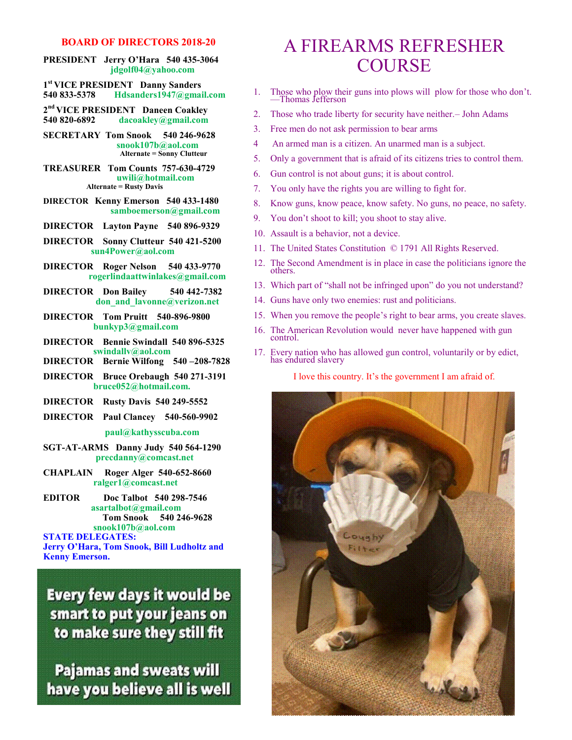#### **BOARD OF DIRECTORS 2018-20**

**PRESIDENT Jerry O'Hara 540 435-3064 jdgolf04@yahoo.com**

**1 st VICE PRESIDENT Danny Sanders 540 833-5378 Hdsanders1947@gmail.com**

- **2 nd VICE PRESIDENT Daneen Coakley 540 820-6892 dacoakley@gmail.com**
- **SECRETARY Tom Snook 540 246-9628 snook107b@aol.com Alternate = Sonny Clutteur**

**TREASURER Tom Counts 757-630-4729 uwili@hotmail.com Alternate = Rusty Davis**

- **DIRECTOR Kenny Emerson 540 433-1480 samboemerson@gmail.com**
- **DIRECTOR Layton Payne 540 896-9329**
- **DIRECTOR Sonny Clutteur 540 421-5200 sun4Power@aol.com**
- **DIRECTOR Roger Nelson 540 433-9770 rogerlindaattwinlakes@gmail.com**
- **DIRECTOR Don Bailey 540 442-7382 don\_and\_lavonne@verizon.net**
- **DIRECTOR Tom Pruitt 540-896-9800 bunkyp3@gmail.com**
- **DIRECTOR Bennie Swindall 540 896-5325 swindallv@aol.com**
- **DIRECTOR Bernie Wilfong 540 –208-7828**
- **DIRECTOR Bruce Orebaugh 540 271-3191 bruce052@hotmail.com.**
- **DIRECTOR Rusty Davis 540 249-5552**
- **DIRECTOR Paul Clancey 540-560-9902**

#### **paul@kathysscuba.com**

- **SGT-AT-ARMS Danny Judy 540 564-1290 precdanny@comcast.net**
- **CHAPLAIN Roger Alger 540-652-8660 ralger1@comcast.net**
- **EDITOR Doc Talbot 540 298-7546 asartalbot@gmail.com Tom Snook 540 246-9628 snook107b@aol.com**

**STATE DELEGATES:** 

**Jerry O'Hara, Tom Snook, Bill Ludholtz and Kenny Emerson.**

**Every few days it would be** smart to put your jeans on to make sure they still fit

**Pajamas and sweats will** have you believe all is well

### A FIREARMS REFRESHER **COURSE**

- 1. Those who plow their guns into plows will plow for those who don't. —Thomas Jefferson
- 2. Those who trade liberty for security have neither.– John Adams
- 3. Free men do not ask permission to bear arms
- 4 An armed man is a citizen. An unarmed man is a subject.
- 5. Only a government that is afraid of its citizens tries to control them.
- 6. Gun control is not about guns; it is about control.
- 7. You only have the rights you are willing to fight for.
- 8. Know guns, know peace, know safety. No guns, no peace, no safety.
- 9. You don't shoot to kill; you shoot to stay alive.
- 10. Assault is a behavior, not a device.
- 11. The United States Constitution © 1791 All Rights Reserved.
- 12. The Second Amendment is in place in case the politicians ignore the others.
- 13. Which part of "shall not be infringed upon" do you not understand?
- 14. Guns have only two enemies: rust and politicians.
- 15. When you remove the people's right to bear arms, you create slaves.
- 16. The American Revolution would never have happened with gun control.
- 17. Every nation who has allowed gun control, voluntarily or by edict, has endured slavery

I love this country. It's the government I am afraid of.